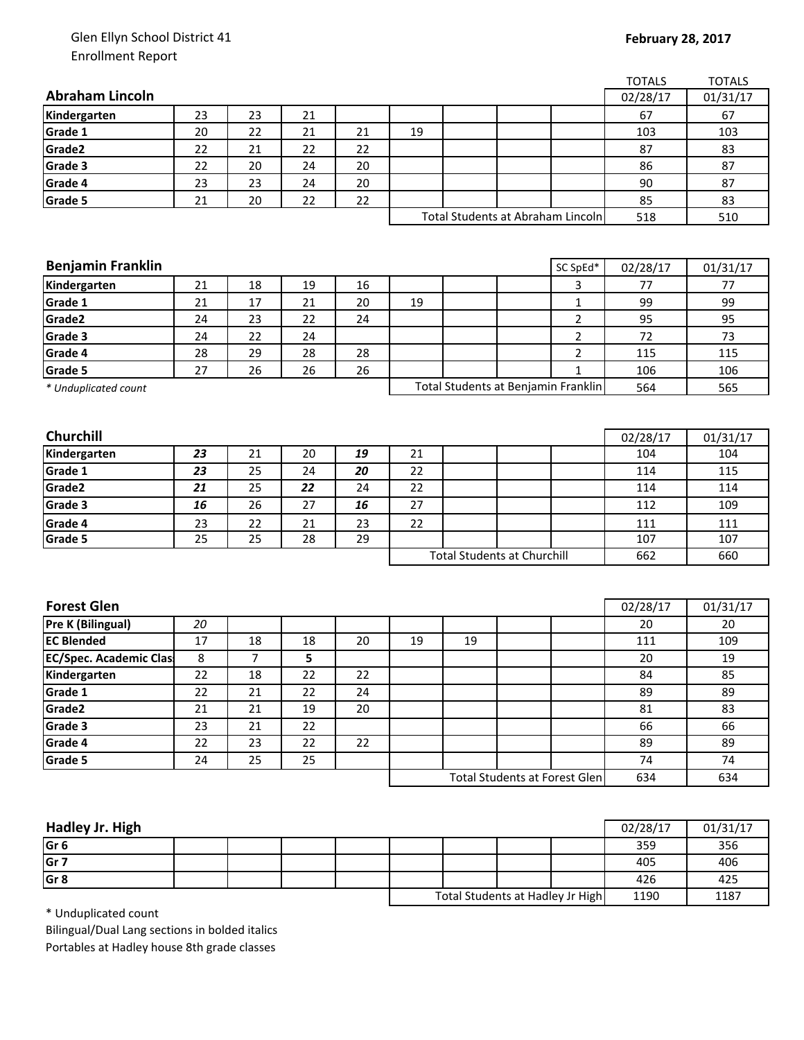## Glen Ellyn School District 41 Enrollment Report

## **February 28, 2017**

|                               |    |        |    |    |                                    |    |                                      |                | <b>TOTALS</b> | <b>TOTALS</b> |
|-------------------------------|----|--------|----|----|------------------------------------|----|--------------------------------------|----------------|---------------|---------------|
| <b>Abraham Lincoln</b>        |    |        |    |    |                                    |    |                                      |                | 02/28/17      | 01/31/17      |
| Kindergarten                  | 23 | 23     | 21 |    |                                    |    |                                      |                | 67            | 67            |
| Grade 1                       | 20 | 22     | 21 | 21 | 19                                 |    |                                      |                | 103           | 103           |
| Grade2                        | 22 | 21     | 22 | 22 |                                    |    |                                      |                | 87            | 83            |
| Grade 3                       | 22 | 20     | 24 | 20 |                                    |    |                                      |                | 86            | 87            |
| Grade 4                       | 23 | 23     | 24 | 20 |                                    |    |                                      |                | 90            | 87            |
| Grade 5                       | 21 | 20     | 22 | 22 |                                    |    |                                      |                | 85            | 83            |
|                               |    |        |    |    |                                    |    | Total Students at Abraham Lincoln    |                | 518           | 510           |
|                               |    |        |    |    |                                    |    |                                      |                |               |               |
|                               |    |        |    |    |                                    |    |                                      |                |               |               |
| <b>Benjamin Franklin</b>      |    |        |    |    |                                    |    |                                      | SC SpEd*       | 02/28/17      | 01/31/17      |
| Kindergarten                  | 21 | 18     | 19 | 16 |                                    |    |                                      | 3              | 77            | 77            |
| Grade 1                       | 21 | 17     | 21 | 20 | 19                                 |    |                                      | $\mathbf{1}$   | 99            | 99            |
| Grade2                        | 24 | 23     | 22 | 24 |                                    |    |                                      | $\overline{2}$ | 95            | 95            |
| Grade 3                       | 24 | 22     | 24 |    |                                    |    |                                      | $\overline{2}$ | 72            | 73            |
| Grade 4                       | 28 | 29     | 28 | 28 |                                    |    |                                      | $\overline{2}$ | 115           | 115           |
| Grade 5                       | 27 | 26     | 26 | 26 |                                    |    |                                      | $\mathbf{1}$   | 106           | 106           |
| * Unduplicated count          |    |        |    |    |                                    |    | Total Students at Benjamin Franklin  | 564            | 565           |               |
|                               |    |        |    |    |                                    |    |                                      |                |               |               |
|                               |    |        |    |    |                                    |    |                                      |                |               |               |
| <b>Churchill</b>              |    |        |    |    |                                    |    |                                      |                | 02/28/17      | 01/31/17      |
| Kindergarten                  | 23 | 21     | 20 | 19 | 21                                 |    |                                      |                | 104           | 104           |
| Grade 1                       | 23 | 25     | 24 | 20 | 22                                 |    |                                      |                | 114           | 115           |
| Grade2                        | 21 | 25     | 22 | 24 | 22                                 |    |                                      |                | 114           | 114           |
| Grade 3                       | 16 | 26     | 27 | 16 | 27                                 |    |                                      |                | 112           | 109           |
| Grade 4                       | 23 | 22     | 21 | 23 | 22                                 |    |                                      |                | 111           | 111           |
| Grade 5                       | 25 | 25     | 28 | 29 |                                    |    |                                      |                | 107           | 107           |
|                               |    |        |    |    | <b>Total Students at Churchill</b> |    |                                      | 662            | 660           |               |
|                               |    |        |    |    |                                    |    |                                      |                |               |               |
|                               |    |        |    |    |                                    |    |                                      |                |               |               |
| <b>Forest Glen</b>            |    |        |    |    |                                    |    |                                      |                | 02/28/17      | 01/31/17      |
| <b>Pre K (Bilingual)</b>      | 20 |        |    |    |                                    |    |                                      |                | 20            | 20            |
| <b>EC Blended</b>             | 17 | 18     | 18 | 20 | 19                                 | 19 |                                      |                | 111           | 109           |
| <b>EC/Spec. Academic Clas</b> | 8  | 7      | 5  |    |                                    |    |                                      |                | 20            | 19            |
| Kindergarten                  | 22 | 18     | 22 | 22 |                                    |    |                                      |                | 84            | 85            |
| Grade 1                       | 22 | 21     | 22 | 24 |                                    |    |                                      |                | 89            | 89            |
| Grade2                        | 21 | 21     | 19 | 20 |                                    |    |                                      |                | 81            | 83            |
| Grade 3                       | 23 | $21\,$ | 22 |    |                                    |    |                                      |                | 66            | 66            |
| Grade 4                       | 22 | 23     | 22 | 22 |                                    |    |                                      |                | 89            | 89            |
| Grade 5                       | 24 | 25     | 25 |    |                                    |    |                                      |                | 74            | 74            |
|                               |    |        |    |    |                                    |    | <b>Total Students at Forest Glen</b> |                | 634           | 634           |
|                               |    |        |    |    |                                    |    |                                      |                |               |               |

| Hadley Jr. High |  |  |                                  |  |      | 02/28/17 | 01/31/17 |
|-----------------|--|--|----------------------------------|--|------|----------|----------|
| Gr <sub>6</sub> |  |  |                                  |  |      | 359      | 356      |
| Gr <sub>7</sub> |  |  |                                  |  |      | 405      | 406      |
| Gr <sub>8</sub> |  |  |                                  |  |      | 426      | 425      |
|                 |  |  | Total Students at Hadley Jr High |  | 1190 | 1187     |          |

\* Unduplicated count

Bilingual/Dual Lang sections in bolded italics Portables at Hadley house 8th grade classes